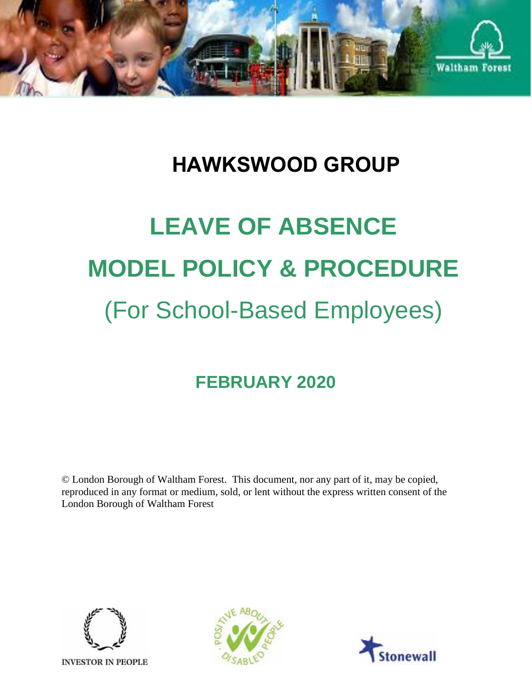

# **HAWKSWOOD GROUP**

# **LEAVE OF ABSENCE MODEL POLICY & PROCEDURE** (For School-Based Employees)

# **FEBRUARY 2020**

© London Borough of Waltham Forest. This document, nor any part of it, may be copied, reproduced in any format or medium, sold, or lent without the express written consent of the London Borough of Waltham Forest





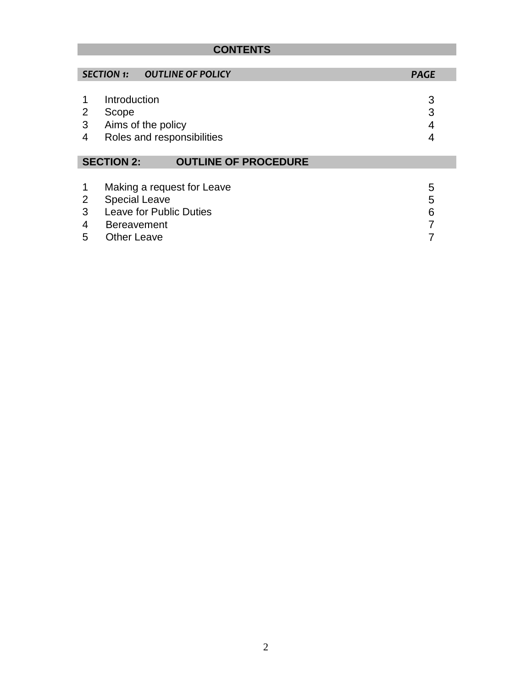### **CONTENTS**

|                                                  | <b>SECTION 1:</b>                                                | <b>OUTLINE OF POLICY</b>                              | <b>PAGE</b>      |
|--------------------------------------------------|------------------------------------------------------------------|-------------------------------------------------------|------------------|
| 2<br>3<br>4                                      | Introduction<br>Scope                                            | Aims of the policy<br>Roles and responsibilities      | 3<br>3<br>4      |
| <b>SECTION 2:</b><br><b>OUTLINE OF PROCEDURE</b> |                                                                  |                                                       |                  |
| 2<br>3<br>4<br>5                                 | <b>Special Leave</b><br><b>Bereavement</b><br><b>Other Leave</b> | Making a request for Leave<br>Leave for Public Duties | 5<br>5<br>6<br>7 |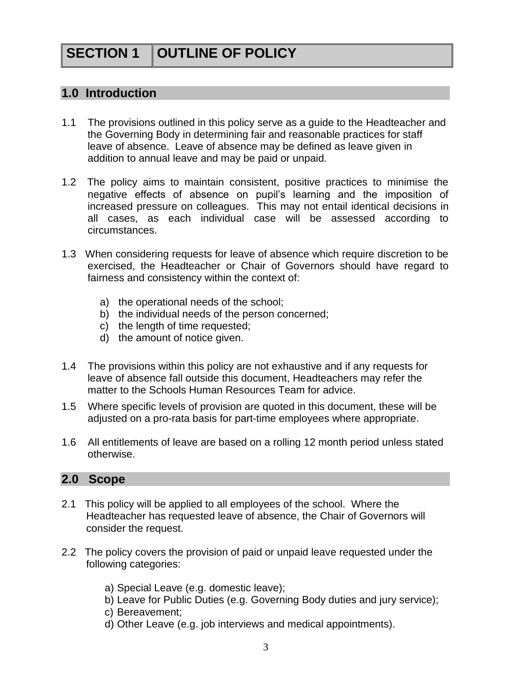## **SECTION 1 OUTLINE OF POLICY**

#### **1.0 Introduction**

- 1.1 The provisions outlined in this policy serve as a guide to the Headteacher and the Governing Body in determining fair and reasonable practices for staff leave of absence. Leave of absence may be defined as leave given in addition to annual leave and may be paid or unpaid.
- 1.2 The policy aims to maintain consistent, positive practices to minimise the negative effects of absence on pupil's learning and the imposition of increased pressure on colleagues. This may not entail identical decisions in all cases, as each individual case will be assessed according to circumstances.
- 1.3 When considering requests for leave of absence which require discretion to be exercised, the Headteacher or Chair of Governors should have regard to fairness and consistency within the context of:
	- a) the operational needs of the school;
	- b) the individual needs of the person concerned;
	- c) the length of time requested;
	- d) the amount of notice given.
- 1.4 The provisions within this policy are not exhaustive and if any requests for leave of absence fall outside this document, Headteachers may refer the matter to the Schools Human Resources Team for advice.
- 1.5 Where specific levels of provision are quoted in this document, these will be adjusted on a pro-rata basis for part-time employees where appropriate.
- 1.6 All entitlements of leave are based on a rolling 12 month period unless stated otherwise.

#### **2.0 Scope**

- 2.1 This policy will be applied to all employees of the school. Where the Headteacher has requested leave of absence, the Chair of Governors will consider the request.
- 2.2 The policy covers the provision of paid or unpaid leave requested under the following categories:
	- a) Special Leave (e.g. domestic leave);
	- b) Leave for Public Duties (e.g. Governing Body duties and jury service);
	- c) Bereavement;
	- d) Other Leave (e.g. job interviews and medical appointments).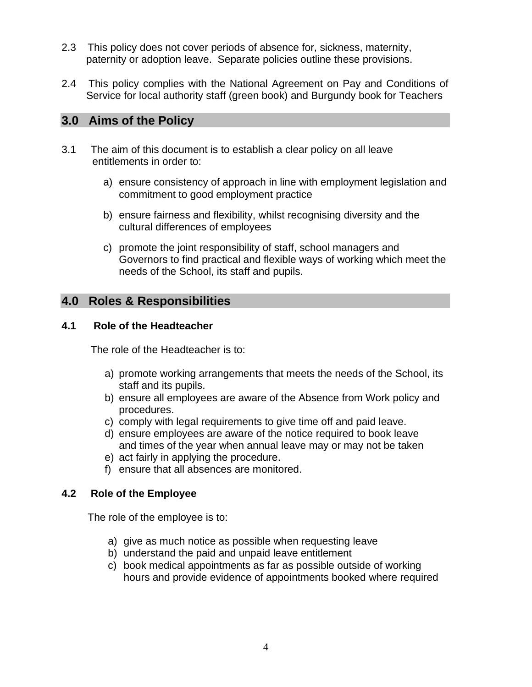- 2.3 This policy does not cover periods of absence for, sickness, maternity, paternity or adoption leave. Separate policies outline these provisions.
- 2.4 This policy complies with the National Agreement on Pay and Conditions of Service for local authority staff (green book) and Burgundy book for Teachers

#### **3.0 Aims of the Policy**

- 3.1 The aim of this document is to establish a clear policy on all leave entitlements in order to:
	- a) ensure consistency of approach in line with employment legislation and commitment to good employment practice
	- b) ensure fairness and flexibility, whilst recognising diversity and the cultural differences of employees
	- c) promote the joint responsibility of staff, school managers and Governors to find practical and flexible ways of working which meet the needs of the School, its staff and pupils.

#### **4.0 Roles & Responsibilities**

#### **4.1 Role of the Headteacher**

The role of the Headteacher is to:

- a) promote working arrangements that meets the needs of the School, its staff and its pupils.
- b) ensure all employees are aware of the Absence from Work policy and procedures.
- c) comply with legal requirements to give time off and paid leave.
- d) ensure employees are aware of the notice required to book leave and times of the year when annual leave may or may not be taken
- e) act fairly in applying the procedure.
- f) ensure that all absences are monitored.

#### **4.2 Role of the Employee**

The role of the employee is to:

- a) give as much notice as possible when requesting leave
- b) understand the paid and unpaid leave entitlement
- c) book medical appointments as far as possible outside of working hours and provide evidence of appointments booked where required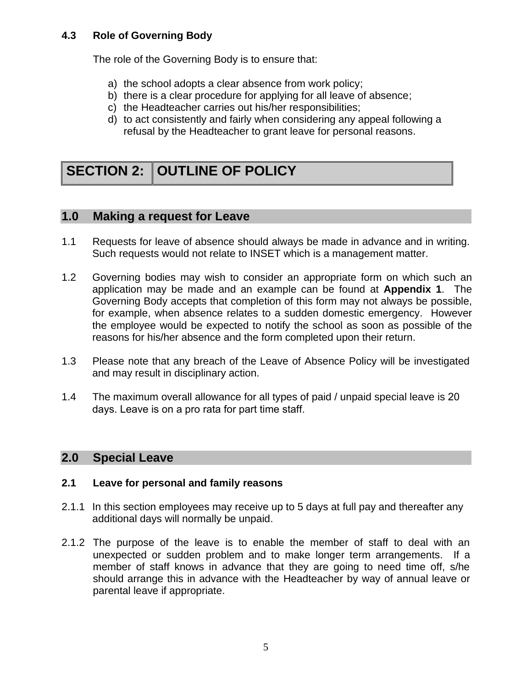#### **4.3 Role of Governing Body**

The role of the Governing Body is to ensure that:

- a) the school adopts a clear absence from work policy;
- b) there is a clear procedure for applying for all leave of absence;
- c) the Headteacher carries out his/her responsibilities;
- d) to act consistently and fairly when considering any appeal following a refusal by the Headteacher to grant leave for personal reasons.

## **SECTION 2: OUTLINE OF POLICY**

#### **1.0 Making a request for Leave**

- 1.1 Requests for leave of absence should always be made in advance and in writing. Such requests would not relate to INSET which is a management matter.
- 1.2 Governing bodies may wish to consider an appropriate form on which such an application may be made and an example can be found at **Appendix 1**. The Governing Body accepts that completion of this form may not always be possible, for example, when absence relates to a sudden domestic emergency. However the employee would be expected to notify the school as soon as possible of the reasons for his/her absence and the form completed upon their return.
- 1.3 Please note that any breach of the Leave of Absence Policy will be investigated and may result in disciplinary action.
- 1.4 The maximum overall allowance for all types of paid / unpaid special leave is 20 days. Leave is on a pro rata for part time staff.

#### **2.0 Special Leave**

#### **2.1 Leave for personal and family reasons**

- 2.1.1 In this section employees may receive up to 5 days at full pay and thereafter any additional days will normally be unpaid.
- 2.1.2 The purpose of the leave is to enable the member of staff to deal with an unexpected or sudden problem and to make longer term arrangements. If a member of staff knows in advance that they are going to need time off, s/he should arrange this in advance with the Headteacher by way of annual leave or parental leave if appropriate.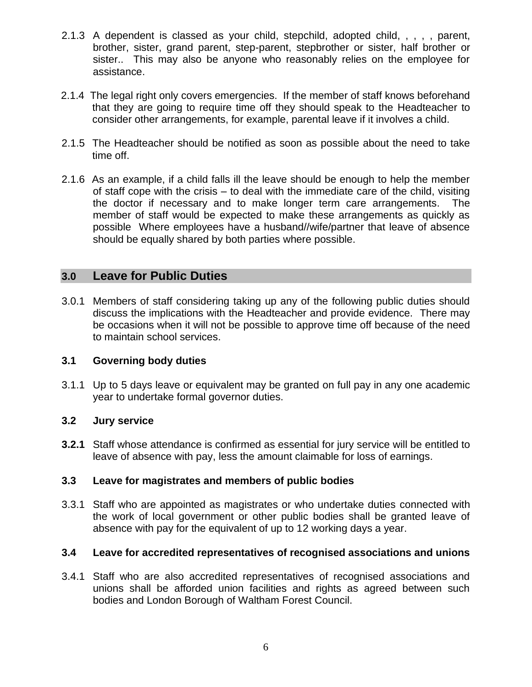- 2.1.3 A dependent is classed as your child, stepchild, adopted child, , , , , parent, brother, sister, grand parent, step-parent, stepbrother or sister, half brother or sister.. This may also be anyone who reasonably relies on the employee for assistance.
- 2.1.4 The legal right only covers emergencies. If the member of staff knows beforehand that they are going to require time off they should speak to the Headteacher to consider other arrangements, for example, parental leave if it involves a child.
- 2.1.5 The Headteacher should be notified as soon as possible about the need to take time off.
- 2.1.6 As an example, if a child falls ill the leave should be enough to help the member of staff cope with the crisis – to deal with the immediate care of the child, visiting the doctor if necessary and to make longer term care arrangements. The member of staff would be expected to make these arrangements as quickly as possible Where employees have a husband//wife/partner that leave of absence should be equally shared by both parties where possible.

#### **3.0 Leave for Public Duties**

3.0.1 Members of staff considering taking up any of the following public duties should discuss the implications with the Headteacher and provide evidence. There may be occasions when it will not be possible to approve time off because of the need to maintain school services.

#### **3.1 Governing body duties**

3.1.1 Up to 5 days leave or equivalent may be granted on full pay in any one academic year to undertake formal governor duties.

#### **3.2 Jury service**

**3.2.1** Staff whose attendance is confirmed as essential for jury service will be entitled to leave of absence with pay, less the amount claimable for loss of earnings.

#### **3.3 Leave for magistrates and members of public bodies**

3.3.1 Staff who are appointed as magistrates or who undertake duties connected with the work of local government or other public bodies shall be granted leave of absence with pay for the equivalent of up to 12 working days a year.

#### **3.4 Leave for accredited representatives of recognised associations and unions**

3.4.1 Staff who are also accredited representatives of recognised associations and unions shall be afforded union facilities and rights as agreed between such bodies and London Borough of Waltham Forest Council.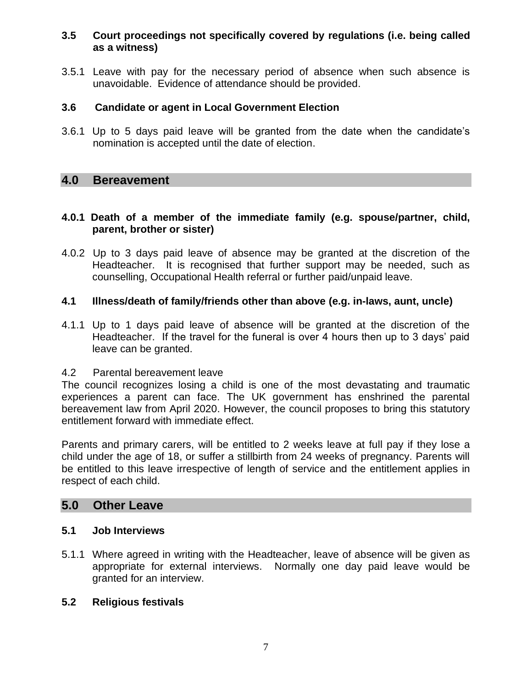#### **3.5 Court proceedings not specifically covered by regulations (i.e. being called as a witness)**

3.5.1 Leave with pay for the necessary period of absence when such absence is unavoidable. Evidence of attendance should be provided.

#### **3.6 Candidate or agent in Local Government Election**

3.6.1 Up to 5 days paid leave will be granted from the date when the candidate's nomination is accepted until the date of election.

#### **4.0 Bereavement**

#### **4.0.1 Death of a member of the immediate family (e.g. spouse/partner, child, parent, brother or sister)**

4.0.2 Up to 3 days paid leave of absence may be granted at the discretion of the Headteacher. It is recognised that further support may be needed, such as counselling, Occupational Health referral or further paid/unpaid leave.

#### **4.1 Illness/death of family/friends other than above (e.g. in-laws, aunt, uncle)**

4.1.1 Up to 1 days paid leave of absence will be granted at the discretion of the Headteacher. If the travel for the funeral is over 4 hours then up to 3 days' paid leave can be granted.

#### 4.2 Parental bereavement leave

The council recognizes losing a child is one of the most devastating and traumatic experiences a parent can face. The UK government has enshrined the parental bereavement law from April 2020. However, the council proposes to bring this statutory entitlement forward with immediate effect.

Parents and primary carers, will be entitled to 2 weeks leave at full pay if they lose a child under the age of 18, or suffer a stillbirth from 24 weeks of pregnancy. Parents will be entitled to this leave irrespective of length of service and the entitlement applies in respect of each child.

#### **5.0 Other Leave**

#### **5.1 Job Interviews**

5.1.1 Where agreed in writing with the Headteacher, leave of absence will be given as appropriate for external interviews. Normally one day paid leave would be granted for an interview.

#### **5.2 Religious festivals**